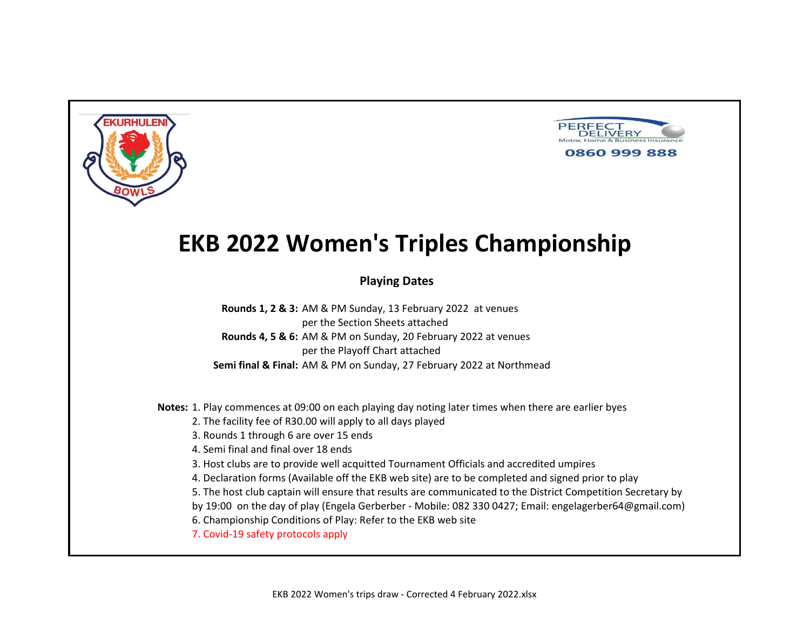



### **Playing Dates**

**Rounds 1, 2 & 3:** AM & PM Sunday, 13 February 2022 at venues per the Section Sheets attached **Rounds 4, 5 & 6:** AM & PM on Sunday, 20 February 2022 at venues per the Playoff Chart attached **Semi final & Final:** AM & PM on Sunday, 27 February 2022 at Northmead

**Notes:** 1. Play commences at 09:00 on each playing day noting later times when there are earlier byes

- 2. The facility fee of R30.00 will apply to all days played
- 3. Rounds 1 through 6 are over 15 ends
- 4. Semi final and final over 18 ends
- 3. Host clubs are to provide well acquitted Tournament Officials and accredited umpires
- 4. Declaration forms (Available off the EKB web site) are to be completed and signed prior to play
- 5. The host club captain will ensure that results are communicated to the District Competition Secretary by
- by 19:00 on the day of play (Engela Gerberber Mobile: 082 330 0427; Email: engelagerber64@gmail.com)
- 6. Championship Conditions of Play: Refer to the EKB web site
- 7. Covid-19 safety protocols apply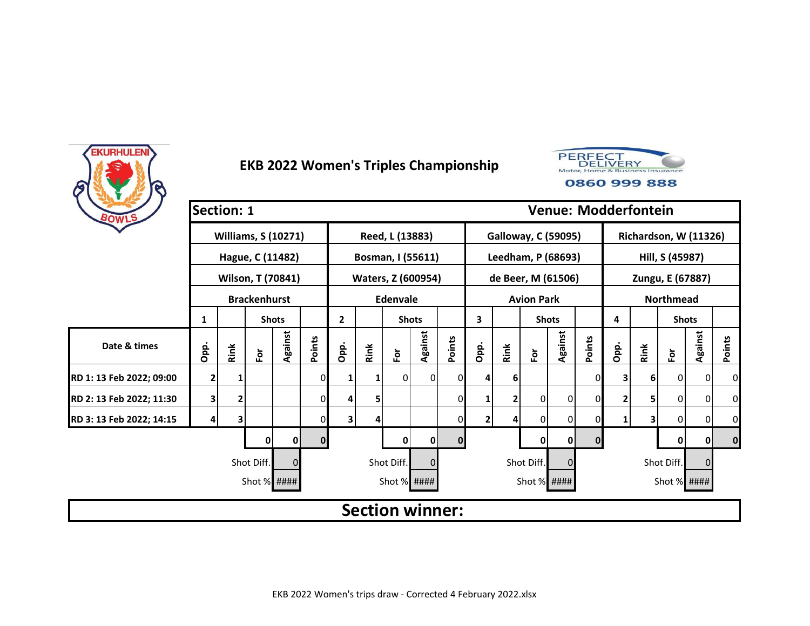



| BOWLS                    | <b>Section: 1</b> |      |                            |              |              |              |      |                        |             |          |                |      |                            |              | <b>Venue: Modderfontein</b> |      |      |                       |          |          |
|--------------------------|-------------------|------|----------------------------|--------------|--------------|--------------|------|------------------------|-------------|----------|----------------|------|----------------------------|--------------|-----------------------------|------|------|-----------------------|----------|----------|
|                          |                   |      | <b>Williams, S (10271)</b> |              |              |              |      | Reed, L (13883)        |             |          |                |      | <b>Galloway, C (59095)</b> |              |                             |      |      | Richardson, W (11326) |          |          |
|                          |                   |      | Hague, C (11482)           |              |              |              |      | Bosman, I (55611)      |             |          |                |      | Leedham, P (68693)         |              |                             |      |      | Hill, S (45987)       |          |          |
|                          |                   |      | Wilson, T (70841)          |              |              |              |      | Waters, Z (600954)     |             |          |                |      | de Beer, M (61506)         |              |                             |      |      | Zungu, E (67887)      |          |          |
|                          |                   |      | <b>Brackenhurst</b>        |              |              |              |      | <b>Edenvale</b>        |             |          |                |      | <b>Avion Park</b>          |              |                             |      |      | <b>Northmead</b>      |          |          |
|                          | 1                 |      |                            | <b>Shots</b> |              | $\mathbf{2}$ |      | <b>Shots</b>           |             |          | 3              |      | <b>Shots</b>               |              |                             | 4    |      | <b>Shots</b>          |          |          |
| Date & times             | Opp.              | Rink | $\bf \tilde{e}$            | Against      | Points       | Opp.         | Rink | $\bf \bar{e}$          | Against     | Points   | Opp.           | Rink | $\bf \bar{e}$              | Against      | Points                      | Opp. | Rink | $\bf \bar{e}$         | Against  | Points   |
| RD 1: 13 Feb 2022; 09:00 | $\overline{2}$    |      |                            |              | 01           | 1            |      | 0                      | 0           |          | 4              | 6    |                            |              | 0                           | 3    | 6    | 0                     | 0        | 0        |
| RD 2: 13 Feb 2022; 11:30 | 3                 | 2    |                            |              | 01           | 4            | 5    |                        |             | 0        |                | 2    | $\overline{0}$             | 0            | 0                           | 2    |      | 0                     | 0        | 0        |
| RD 3: 13 Feb 2022; 14:15 | 4                 | 3    |                            |              | 0            | 31           | 4    |                        |             | 0        | $\overline{2}$ | 4    | $\overline{0}$             | 0            | 0                           |      |      | 0                     | 0        | 0        |
|                          |                   |      | 0                          | 0            | $\mathbf{0}$ |              |      | 0                      | $\mathbf 0$ | $\Omega$ |                |      | 0                          | $\mathbf{0}$ | $\mathbf{0}$                |      |      | 0                     | 0        | $\bf{0}$ |
|                          |                   |      | Shot Diff.                 |              |              |              |      | Shot Diff.             | $\Omega$    |          |                |      | Shot Diff.                 |              |                             |      |      | Shot Diff.            | $\Omega$ |          |
|                          |                   |      | Shot % ####                |              |              |              |      | Shot % ####            |             |          |                |      | Shot % ####                |              |                             |      |      | Shot % ####           |          |          |
|                          |                   |      |                            |              |              |              |      | <b>Section winner:</b> |             |          |                |      |                            |              |                             |      |      |                       |          |          |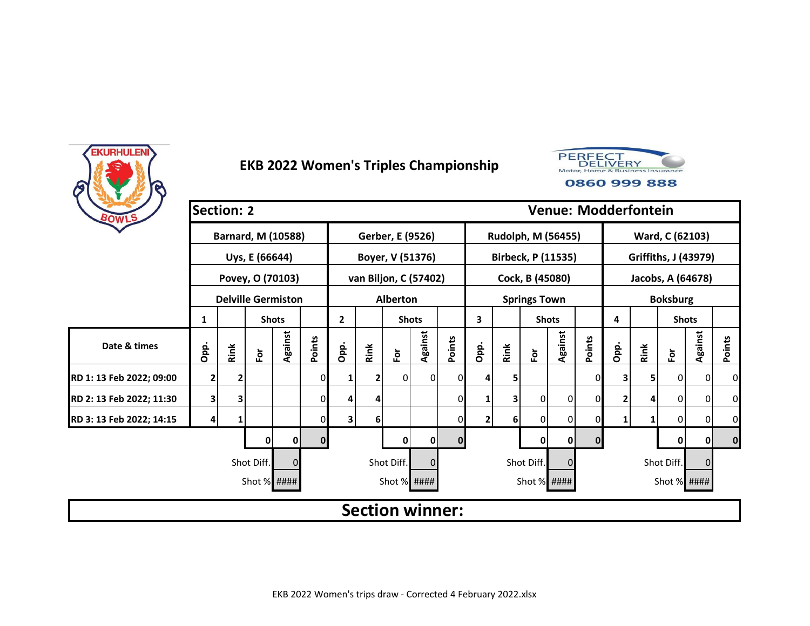



| BOWLS                    | <b>Section: 2</b> |      |                           |              |              |              |      |                        |                |          |              |          |                     |                           |              | <b>Venue: Modderfontein</b> |      |                      |                |                |
|--------------------------|-------------------|------|---------------------------|--------------|--------------|--------------|------|------------------------|----------------|----------|--------------|----------|---------------------|---------------------------|--------------|-----------------------------|------|----------------------|----------------|----------------|
|                          |                   |      | <b>Barnard, M (10588)</b> |              |              |              |      | Gerber, E (9526)       |                |          |              |          |                     | Rudolph, M (56455)        |              |                             |      | Ward, C (62103)      |                |                |
|                          |                   |      | Uys, E (66644)            |              |              |              |      | Boyer, V (51376)       |                |          |              |          |                     | <b>Birbeck, P (11535)</b> |              |                             |      | Griffiths, J (43979) |                |                |
|                          |                   |      | Povey, O (70103)          |              |              |              |      | van Biljon, C (57402)  |                |          |              |          | Cock, B (45080)     |                           |              |                             |      | Jacobs, A (64678)    |                |                |
|                          |                   |      | <b>Delville Germiston</b> |              |              |              |      | <b>Alberton</b>        |                |          |              |          | <b>Springs Town</b> |                           |              |                             |      | <b>Boksburg</b>      |                |                |
|                          | 1                 |      |                           | <b>Shots</b> |              | $\mathbf{2}$ |      | <b>Shots</b>           |                |          | 3            |          | <b>Shots</b>        |                           |              | 4                           |      | <b>Shots</b>         |                |                |
| Date & times             | Opp.              | Rink | $\bf \bar{e}$             | Against      | Points       | Opp.         | Rink | For                    | Against        | Points   | Opp.         | Rink     | $\bf \bar{e}$       | Against                   | Points       | Opp.                        | Rink | $\bf \bar{e}$        | Against        | Points         |
| RD 1: 13 Feb 2022; 09:00 | 2                 |      |                           |              | 0            |              |      | 0                      | $\overline{0}$ |          |              | 5        |                     |                           | 0            |                             | 5    | 0                    | $\mathbf 0$    | $\overline{0}$ |
| RD 2: 13 Feb 2022; 11:30 | 3                 | 3    |                           |              | 0            | 4            | 4    |                        |                |          |              | 3        | 0                   | 0                         | $\Omega$     |                             | 4    | 0                    | $\overline{0}$ | $\overline{0}$ |
| RD 3: 13 Feb 2022; 14:15 | 4                 | 1    |                           |              | 0            | 3            | 6    |                        |                |          | $\mathbf{2}$ | $6 \mid$ | 0                   | $\overline{0}$            | $\Omega$     |                             |      | 0                    | 0              | $\overline{0}$ |
|                          |                   |      |                           | 0            | $\mathbf{0}$ |              |      | 0                      | 0              | $\bf{0}$ |              |          | 0                   | 0                         | $\mathbf{0}$ |                             |      | 0                    | 0              | $\mathbf{0}$   |
|                          |                   |      | Shot Diff.                |              |              |              |      | Shot Diff.             | $\Omega$       |          |              |          | Shot Diff.          | $\Omega$                  |              |                             |      | Shot Diff.           | $\Omega$       |                |
|                          |                   |      | Shot % ####               |              |              |              |      | Shot % ####            |                |          |              |          | Shot % ####         |                           |              |                             |      | Shot % ####          |                |                |
|                          |                   |      |                           |              |              |              |      | <b>Section winner:</b> |                |          |              |          |                     |                           |              |                             |      |                      |                |                |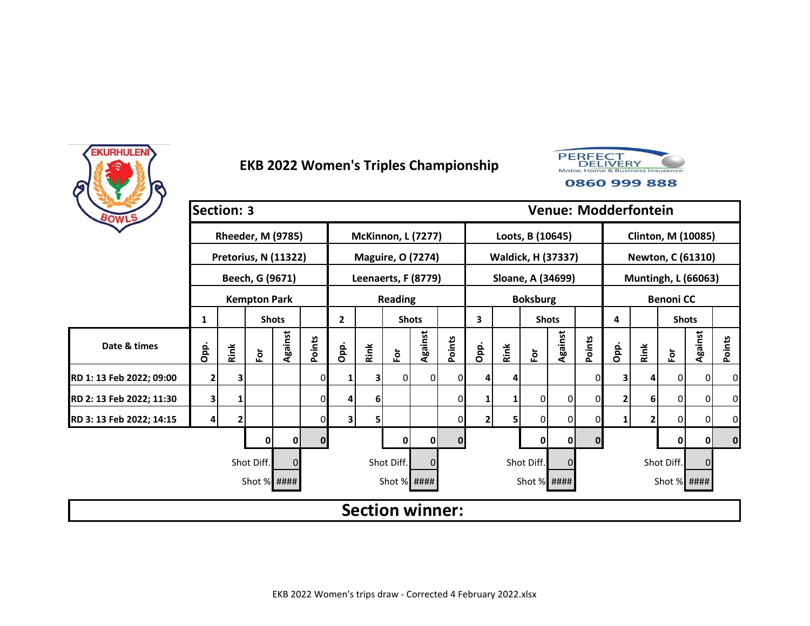



| BOWLS                    | <b>Section: 3</b> |      |                          |              |              |      |      |                           |         |              |      |      |                      | <b>Venue: Modderfontein</b> |              |      |                |                            |         |           |
|--------------------------|-------------------|------|--------------------------|--------------|--------------|------|------|---------------------------|---------|--------------|------|------|----------------------|-----------------------------|--------------|------|----------------|----------------------------|---------|-----------|
|                          |                   |      | <b>Rheeder, M (9785)</b> |              |              |      |      | <b>McKinnon, L (7277)</b> |         |              |      |      | Loots, B (10645)     |                             |              |      |                | <b>Clinton, M (10085)</b>  |         |           |
|                          |                   |      | Pretorius, N (11322)     |              |              |      |      | <b>Maguire, O (7274)</b>  |         |              |      |      | Waldick, H (37337)   |                             |              |      |                | Newton, C (61310)          |         |           |
|                          |                   |      | Beech, G (9671)          |              |              |      |      | Leenaerts, F (8779)       |         |              |      |      | Sloane, A (34699)    |                             |              |      |                | <b>Muntingh, L (66063)</b> |         |           |
|                          |                   |      | <b>Kempton Park</b>      |              |              |      |      | <b>Reading</b>            |         |              |      |      | <b>Boksburg</b>      |                             |              |      |                | <b>Benoni CC</b>           |         |           |
|                          | 1                 |      |                          | <b>Shots</b> |              | 2    |      | <b>Shots</b>              |         |              | 3    |      | <b>Shots</b>         |                             |              | 4    |                | <b>Shots</b>               |         |           |
| Date & times             | Opp.              | Rink | $\bf \bar{e}$            | Against      | Points       | Opp. | Rink | $\bf \bar{e}$             | Against | Points       | Opp. | Rink | $\mathbf{\tilde{e}}$ | Against                     | Points       | Opp. | Rink           | For                        | Against | Points    |
| RD 1: 13 Feb 2022; 09:00 | $\mathbf{2}$      | 3    |                          |              | 0            | 1    | 3    | 0                         | 0       | 01           |      |      |                      |                             | 0            |      |                | 0                          | 0       | $\pmb{0}$ |
| RD 2: 13 Feb 2022; 11:30 | 3                 |      |                          |              | 0            | 4    | 6    |                           |         | $\mathbf{0}$ |      |      | 0                    | 0                           | 0            |      | 6 <sup>1</sup> | 0                          | 0       | 0         |
| RD 3: 13 Feb 2022; 14:15 | 4                 | 2    |                          |              | 0            | 31   | 5    |                           |         | 0            | 2    | 5    | $\Omega$             | 0                           | 0            |      |                | 0                          | 0       | 0         |
|                          |                   |      | 0                        | 0            | $\mathbf{0}$ |      |      | 0                         | 0       | $\bf{0}$     |      |      | 0                    | $\mathbf 0$                 | $\mathbf{0}$ |      |                | 0                          | 0       | $\bf{0}$  |
|                          |                   |      | Shot Diff.               |              |              |      |      | Shot Diff.                |         |              |      |      | Shot Diff.           | $\Omega$                    |              |      |                | Shot Diff.                 |         |           |
|                          |                   |      | Shot % ####              |              |              |      |      | Shot $%$ ####             |         |              |      |      | Shot % ####          |                             |              |      |                | Shot % ####                |         |           |
|                          |                   |      |                          |              |              |      |      | <b>Section winner:</b>    |         |              |      |      |                      |                             |              |      |                |                            |         |           |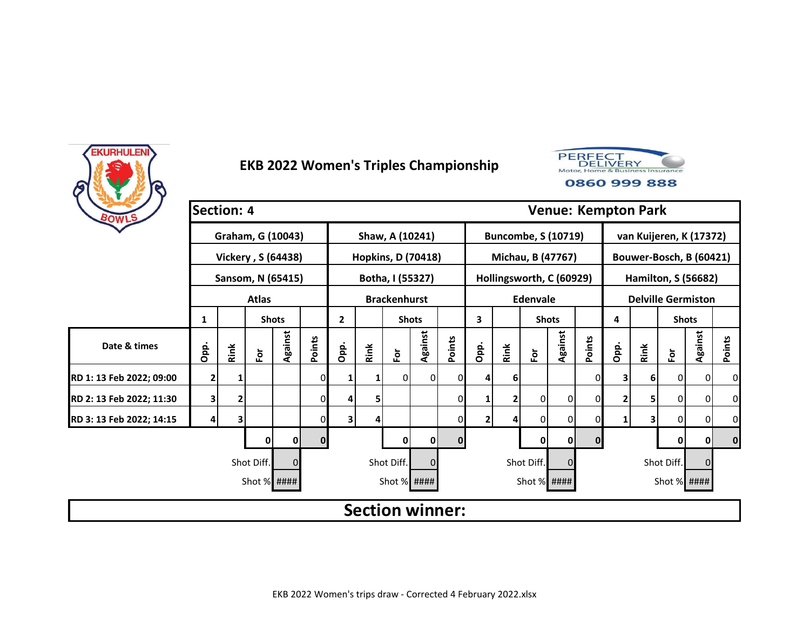



| BOWLS                    |              | <b>Section: 4</b> |                      |              |        |                |      |                           |          |          |                |      |                      |                            | <b>Venue: Kempton Park</b> |      |      |                            |              |             |
|--------------------------|--------------|-------------------|----------------------|--------------|--------|----------------|------|---------------------------|----------|----------|----------------|------|----------------------|----------------------------|----------------------------|------|------|----------------------------|--------------|-------------|
|                          |              |                   | Graham, G (10043)    |              |        |                |      | Shaw, A (10241)           |          |          |                |      |                      | <b>Buncombe, S (10719)</b> |                            |      |      | van Kuijeren, K (17372)    |              |             |
|                          |              |                   | Vickery, S (64438)   |              |        |                |      | <b>Hopkins, D (70418)</b> |          |          |                |      |                      | Michau, B (47767)          |                            |      |      | Bouwer-Bosch, B (60421)    |              |             |
|                          |              |                   | Sansom, N (65415)    |              |        |                |      | Botha, I (55327)          |          |          |                |      |                      | Hollingsworth, C (60929)   |                            |      |      | <b>Hamilton, S (56682)</b> |              |             |
|                          |              |                   | <b>Atlas</b>         |              |        |                |      | <b>Brackenhurst</b>       |          |          |                |      | Edenvale             |                            |                            |      |      | <b>Delville Germiston</b>  |              |             |
|                          | 1            |                   |                      | <b>Shots</b> |        | $\overline{2}$ |      | <b>Shots</b>              |          |          | 3              |      | <b>Shots</b>         |                            |                            | 4    |      | <b>Shots</b>               |              |             |
| Date & times             | Opp.         | Rink              | $\mathbf{\tilde{e}}$ | Against      | Points | Opp.           | Rink | Ē٥                        | Against  | Points   | Opp.           | Rink | $\mathbf{\tilde{e}}$ | Against                    | Points                     | Opp. | Rink | Ĕ                          | Against      | Points      |
| RD 1: 13 Feb 2022; 09:00 | $\mathbf{2}$ |                   |                      |              | 0      | 1              | 1    | 0                         | 0        | 0        |                | 6    |                      |                            | 0                          |      | 6    | 0                          | 0            | 0           |
| RD 2: 13 Feb 2022; 11:30 | 3            | 2                 |                      |              | 0      | 4              | 5    |                           |          | 0        |                | 2    | 0                    | 0                          | 0                          |      | 5    | 0                          | 0            | 0           |
| RD 3: 13 Feb 2022; 14:15 | 4            | 3                 |                      |              | ი      | 3 <sub>l</sub> | 4    |                           |          | $\Omega$ | $\overline{2}$ |      | 0                    | 0                          | 0                          |      | 3    | $\overline{0}$             | $\Omega$     | $\mathbf 0$ |
|                          |              |                   | ŋ                    | O            | 0      |                |      | 0                         | 0        | $\bf{0}$ |                |      | 0                    | 0                          | $\mathbf{0}$               |      |      | 0                          | $\mathbf{0}$ | $\mathbf 0$ |
|                          |              |                   | Shot Diff.           | $\Omega$     |        |                |      | Shot Diff.                | $\Omega$ |          |                |      | Shot Diff.           | 0                          |                            |      |      | Shot Diff.                 |              |             |
|                          |              |                   | Shot % ####          |              |        |                |      | Shot % ####               |          |          |                |      | Shot % ####          |                            |                            |      |      | Shot % ####                |              |             |
|                          |              |                   |                      |              |        |                |      | <b>Section winner:</b>    |          |          |                |      |                      |                            |                            |      |      |                            |              |             |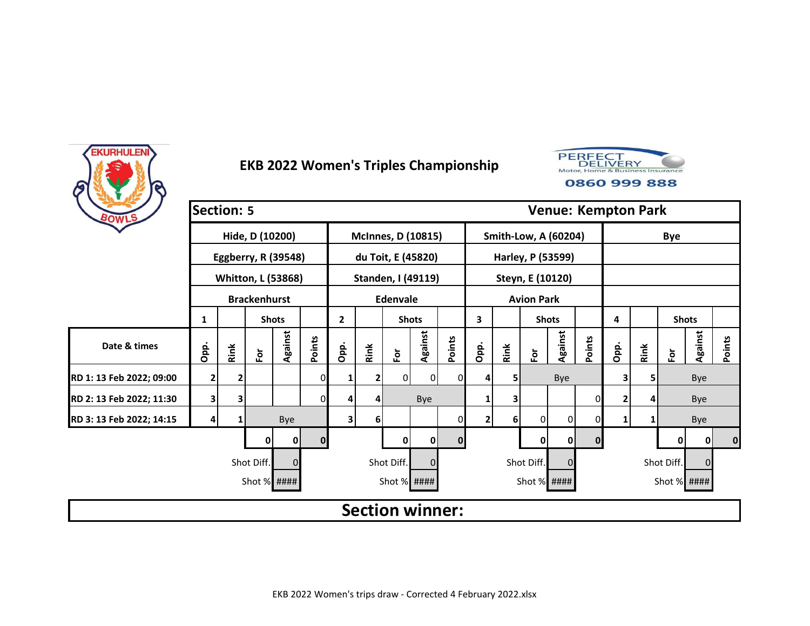



| BOWLS                    | <b>Section: 5</b>                                  |      |                     |                           |          |              |      |                 |                           |              |                |      |                             |              |              | <b>Venue: Kempton Park</b> |      |               |         |          |
|--------------------------|----------------------------------------------------|------|---------------------|---------------------------|----------|--------------|------|-----------------|---------------------------|--------------|----------------|------|-----------------------------|--------------|--------------|----------------------------|------|---------------|---------|----------|
|                          |                                                    |      | Hide, D (10200)     |                           |          |              |      |                 | <b>McInnes, D (10815)</b> |              |                |      | <b>Smith-Low, A (60204)</b> |              |              |                            |      | <b>Bye</b>    |         |          |
|                          |                                                    |      |                     | Eggberry, R (39548)       |          |              |      |                 | du Toit, E (45820)        |              |                |      | Harley, P (53599)           |              |              |                            |      |               |         |          |
|                          |                                                    |      |                     | <b>Whitton, L (53868)</b> |          |              |      |                 | Standen, I (49119)        |              |                |      | Steyn, E (10120)            |              |              |                            |      |               |         |          |
|                          |                                                    |      | <b>Brackenhurst</b> |                           |          |              |      | <b>Edenvale</b> |                           |              |                |      | <b>Avion Park</b>           |              |              |                            |      |               |         |          |
|                          | 1                                                  |      |                     | <b>Shots</b>              |          | $\mathbf{2}$ |      | <b>Shots</b>    |                           |              | 3              |      | <b>Shots</b>                |              |              | 4                          |      | <b>Shots</b>  |         |          |
| Date & times             | Opp.                                               | Rink | $\bf \tilde{e}$     | Against                   | Points   | Opp.         | Rink | $\bf \bar{e}$   | Against                   | Points       | Opp.           | Rink | Εòτ                         | Against      | Points       | Opp.                       | Rink | $\bf \bar{e}$ | Against | Points   |
| RD 1: 13 Feb 2022; 09:00 | 2                                                  | 2    |                     |                           | 0        | 1            | 2    | $\overline{0}$  | $\overline{0}$            | 0I           | 4              | 5    |                             | Bye          |              | 3 <sub>1</sub>             |      |               | Bye     |          |
| RD 2: 13 Feb 2022; 11:30 | 3                                                  | 3    |                     |                           | 0        | 4            | 4    |                 | Bye                       |              |                | 3    |                             |              | $\mathbf{0}$ | 2                          |      |               | Bye     |          |
| RD 3: 13 Feb 2022; 14:15 | 4                                                  |      |                     | Bye                       |          | 3            | 6    |                 |                           |              | $\overline{2}$ | 6    | $\Omega$                    | 0            | $\mathbf{0}$ |                            |      |               | Bye     |          |
|                          |                                                    |      | 0                   | 0                         | $\bf{0}$ |              |      | 0               | $\mathbf 0$               | $\mathbf{0}$ |                |      | $\mathbf 0$                 | $\mathbf{0}$ | $\mathbf{0}$ |                            |      | 0             | 0       | $\bf{0}$ |
|                          | Shot Diff.<br>Shot Diff.<br>Shot Diff.<br>$\Omega$ |      |                     |                           |          |              |      |                 |                           |              |                |      |                             | 0            |              |                            |      | Shot Diff.    | 0       |          |
|                          |                                                    |      | Shot % ####         |                           |          |              |      | Shot % ####     |                           |              |                |      | Shot % ####                 |              |              |                            |      | Shot % ####   |         |          |
|                          |                                                    |      |                     |                           |          |              |      |                 | <b>Section winner:</b>    |              |                |      |                             |              |              |                            |      |               |         |          |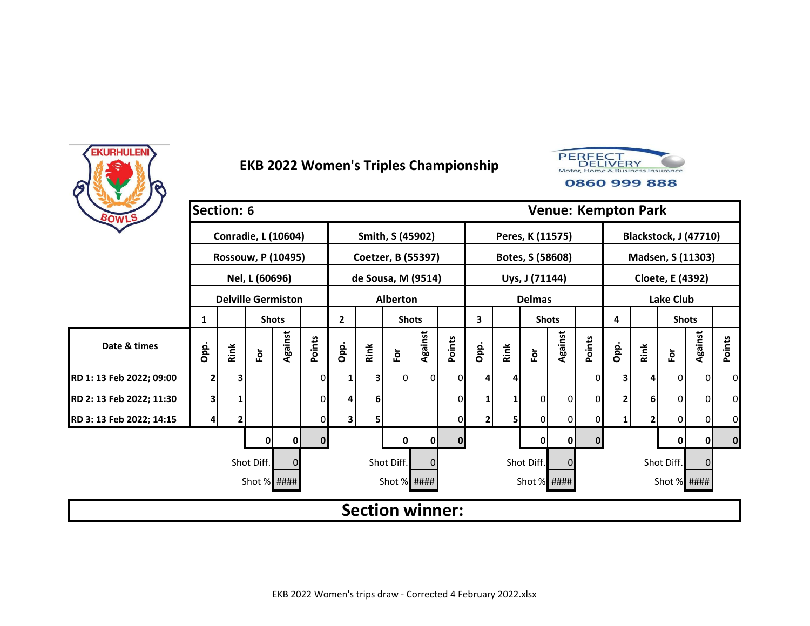



| BOWLS                    | <b>Section: 6</b>                    |      |                            |              |        |              |      |                        |         |          |                |      |                  | <b>Venue: Kempton Park</b> |             |      |      |                  |                       |                |
|--------------------------|--------------------------------------|------|----------------------------|--------------|--------|--------------|------|------------------------|---------|----------|----------------|------|------------------|----------------------------|-------------|------|------|------------------|-----------------------|----------------|
|                          |                                      |      | <b>Conradie, L (10604)</b> |              |        |              |      | Smith, S (45902)       |         |          |                |      | Peres, K (11575) |                            |             |      |      |                  | Blackstock, J (47710) |                |
|                          |                                      |      | <b>Rossouw, P (10495)</b>  |              |        |              |      | Coetzer, B (55397)     |         |          |                |      | Botes, S (58608) |                            |             |      |      |                  | Madsen, S (11303)     |                |
|                          |                                      |      | Nel, L (60696)             |              |        |              |      | de Sousa, M (9514)     |         |          |                |      | Uys, J (71144)   |                            |             |      |      | Cloete, E (4392) |                       |                |
|                          |                                      |      | <b>Delville Germiston</b>  |              |        |              |      | <b>Alberton</b>        |         |          |                |      | <b>Delmas</b>    |                            |             |      |      | <b>Lake Club</b> |                       |                |
|                          | 1                                    |      |                            | <b>Shots</b> |        | $\mathbf{2}$ |      | <b>Shots</b>           |         |          | 3              |      | <b>Shots</b>     |                            |             | 4    |      | <b>Shots</b>     |                       |                |
| Date & times             | Opp.                                 | Rink | $\overline{\mathbf{e}}$    | Against      | Points | Opp.         | Rink | For                    | Against | Points   | Opp.           | Rink | $\bf \bar{e}$    | Against                    | Points      | Opp. | Rink | $\bf \bar{e}$    | Against               | <b>Points</b>  |
| RD 1: 13 Feb 2022; 09:00 | 2                                    | 3    |                            |              | 0      |              |      | 0                      | οI      |          |                | 4    |                  |                            | 0           |      | 4    | 0                | $\overline{0}$        | $\overline{0}$ |
| RD 2: 13 Feb 2022; 11:30 | 3                                    | 1    |                            |              | 0      | 4            | 6    |                        |         | 0        |                | 1    | 0                | 0                          | 0           |      | 6    | 0                | $\overline{0}$        | $\overline{0}$ |
| RD 3: 13 Feb 2022; 14:15 | 4                                    |      |                            |              | 0      | 3            | 5    |                        |         |          | $\overline{2}$ | 5    | 0                | $\overline{0}$             | 0           |      | 2    | 0                | 0                     | $\overline{0}$ |
|                          |                                      |      |                            | 0            | 0      |              |      | 0                      | 0       | $\bf{0}$ |                |      | 0                | 0                          | $\mathbf 0$ |      |      | 0                | 0                     | 0              |
|                          | Shot Diff.<br>Shot Diff.<br>$\Omega$ |      |                            |              |        |              |      |                        |         |          |                |      |                  | $\Omega$                   |             |      |      | Shot Diff.       | $\Omega$              |                |
|                          |                                      |      | Shot % ####                |              |        |              |      | Shot % ####            |         |          |                |      | Shot % ####      |                            |             |      |      | Shot % ####      |                       |                |
|                          |                                      |      |                            |              |        |              |      | <b>Section winner:</b> |         |          |                |      |                  |                            |             |      |      |                  |                       |                |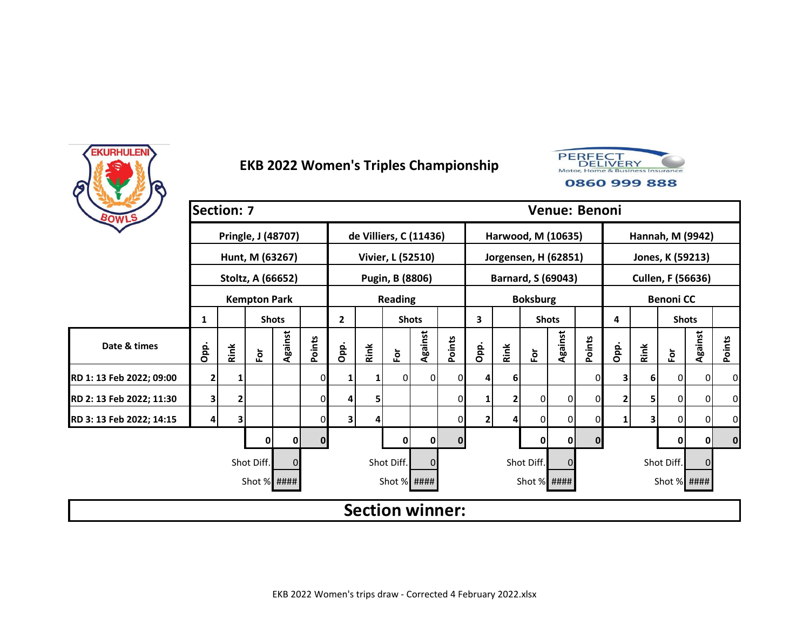



| BOWLS                    | <b>Section: 7</b> |      |                     |              |                |              |      |                        |              |              |      |      |                      |                      | Venue: Benoni |      |          |                          |         |           |
|--------------------------|-------------------|------|---------------------|--------------|----------------|--------------|------|------------------------|--------------|--------------|------|------|----------------------|----------------------|---------------|------|----------|--------------------------|---------|-----------|
|                          |                   |      | Pringle, J (48707)  |              |                |              |      | de Villiers, C (11436) |              |              |      |      |                      | Harwood, M (10635)   |               |      |          | Hannah, M (9942)         |         |           |
|                          |                   |      | Hunt, M (63267)     |              |                |              |      | Vivier, L (52510)      |              |              |      |      |                      | Jorgensen, H (62851) |               |      |          | Jones, K (59213)         |         |           |
|                          |                   |      | Stoltz, A (66652)   |              |                |              |      | Pugin, B (8806)        |              |              |      |      |                      | Barnard, S (69043)   |               |      |          | <b>Cullen, F (56636)</b> |         |           |
|                          |                   |      | <b>Kempton Park</b> |              |                |              |      | <b>Reading</b>         |              |              |      |      | <b>Boksburg</b>      |                      |               |      |          | <b>Benoni CC</b>         |         |           |
|                          | 1                 |      |                     | <b>Shots</b> |                | $\mathbf{2}$ |      | <b>Shots</b>           |              |              | 3    |      |                      | <b>Shots</b>         |               | 4    |          | <b>Shots</b>             |         |           |
| Date & times             | Opp.              | Rink | $\bf \bar{e}$       | Against      | Points         | Opp.         | Rink | For                    | Against      | Points       | Opp. | Rink | $\mathbf{\tilde{e}}$ | Against              | Points        | Opp. | Rink     | For                      | Against | Points    |
| RD 1: 13 Feb 2022; 09:00 | $\mathbf{2}$      |      |                     |              | 0              | 1            |      | ΟI                     | <sup>0</sup> | 0            |      | 6    |                      |                      | 0             |      | <b>6</b> | 0                        | 0       | 0         |
| RD 2: 13 Feb 2022; 11:30 | 3                 | 2    |                     |              | $\overline{0}$ | 4            | 5    |                        |              | 0            |      | 2    | 0                    | $\overline{0}$       | 0             |      |          | 0                        | 0       | 0         |
| RD 3: 13 Feb 2022; 14:15 | 4                 | 3    |                     |              | $\Omega$       | 3            | 4    |                        |              | $\mathbf{0}$ | 2    | 4    | $\Omega$             | 0                    | 0             |      | 3        | 0                        | 0       | $\pmb{0}$ |
|                          |                   |      | 0                   | 0            | $\bf{0}$       |              |      | 0                      | 0            | $\mathbf{0}$ |      |      | 0                    | 0                    | $\mathbf 0$   |      |          | 0                        | 0       | $\bf{0}$  |
|                          |                   |      | Shot Diff.          |              |                |              |      | Shot Diff.             |              |              |      |      | Shot Diff.           | $\Omega$             |               |      |          | Shot Diff.               | 0       |           |
|                          |                   |      | Shot % ####         |              |                |              |      | Shot % ####            |              |              |      |      | Shot % ####          |                      |               |      |          | Shot % ####              |         |           |
|                          |                   |      |                     |              |                |              |      | <b>Section winner:</b> |              |              |      |      |                      |                      |               |      |          |                          |         |           |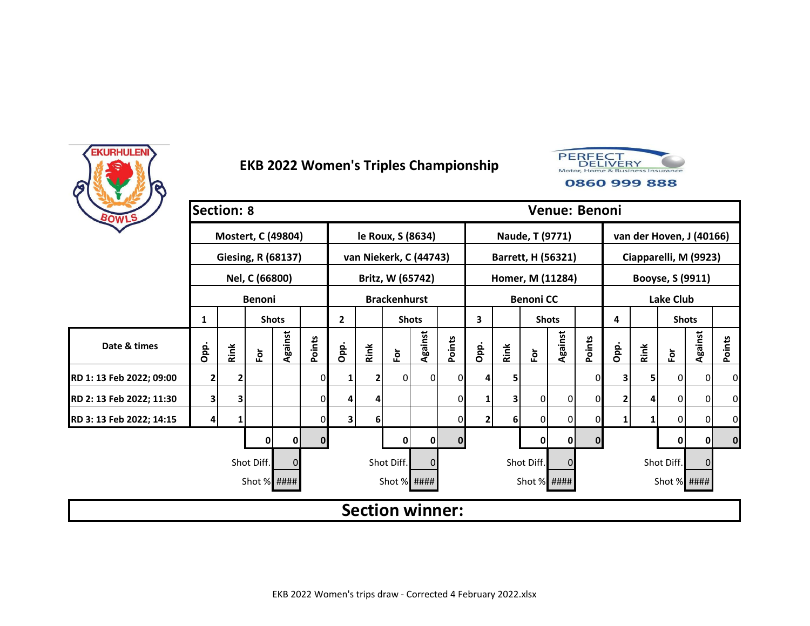



| BOWLS                    | <b>Section: 8</b> |      |                           |              |                |              |              |                        |                |              |                |      |                    |              | Venue: Benoni |      |      |                          |         |          |
|--------------------------|-------------------|------|---------------------------|--------------|----------------|--------------|--------------|------------------------|----------------|--------------|----------------|------|--------------------|--------------|---------------|------|------|--------------------------|---------|----------|
|                          |                   |      | Mostert, C (49804)        |              |                |              |              | le Roux, S (8634)      |                |              |                |      | Naude, T (9771)    |              |               |      |      | van der Hoven, J (40166) |         |          |
|                          |                   |      | <b>Giesing, R (68137)</b> |              |                |              |              | van Niekerk, C (44743) |                |              |                |      | Barrett, H (56321) |              |               |      |      | Ciapparelli, M (9923)    |         |          |
|                          |                   |      | Nel, C (66800)            |              |                |              |              | Britz, W (65742)       |                |              |                |      | Homer, M (11284)   |              |               |      |      | Booyse, S (9911)         |         |          |
|                          |                   |      | <b>Benoni</b>             |              |                |              |              | <b>Brackenhurst</b>    |                |              |                |      | <b>Benoni CC</b>   |              |               |      |      | <b>Lake Club</b>         |         |          |
|                          | 1                 |      |                           | <b>Shots</b> |                | $\mathbf{2}$ |              | <b>Shots</b>           |                |              | 3              |      | <b>Shots</b>       |              |               | 4    |      | <b>Shots</b>             |         |          |
| Date & times             | Opp.              | Rink | $\bf \tilde{e}$           | Against      | Points         | Opp.         | Rink         | $\bf \bar{e}$          | Against        | Points       | Opp.           | Rink | $\bf \bar{e}$      | Against      | Points        | Opp. | Rink | Ĕŏ                       | Against | Points   |
| RD 1: 13 Feb 2022; 09:00 | $\overline{2}$    | 2    |                           |              | 0              | 1            | $\mathbf{2}$ | $\overline{0}$         | $\overline{0}$ | ΩI           | 4              | 5    |                    |              | 0             | 3    | 5.   | 0                        | 0       | 0        |
| RD 2: 13 Feb 2022; 11:30 | 3                 | 3    |                           |              | $\overline{0}$ | 4            | 4            |                        |                | 0            |                | 3    | 0                  | 0            | $\mathbf{0}$  | 2    |      | $\overline{0}$           | 0       | 0        |
| RD 3: 13 Feb 2022; 14:15 | 4                 |      |                           |              | 0              | 3            | $6 \mid$     |                        |                | 01           | $\overline{2}$ | 6    | $\overline{0}$     | 0            | $\mathbf{0}$  | 1    |      | 0                        | 0       | 0        |
|                          |                   |      | 0                         | 0            | $\mathbf{0}$   |              |              | 0                      | $\mathbf 0$    | $\mathbf{0}$ |                |      | $\mathbf 0$        | $\mathbf{0}$ | $\mathbf{0}$  |      |      | 0                        | 0       | $\bf{0}$ |
|                          |                   |      | Shot Diff.                |              |                |              |              | Shot Diff.             | $\overline{0}$ |              |                |      | Shot Diff.         | $\Omega$     |               |      |      | Shot Diff.               | 0       |          |
|                          |                   |      | Shot % ####               |              |                |              |              | Shot % ####            |                |              |                |      | Shot % ####        |              |               |      |      | Shot % ####              |         |          |
|                          |                   |      |                           |              |                |              |              | <b>Section winner:</b> |                |              |                |      |                    |              |               |      |      |                          |         |          |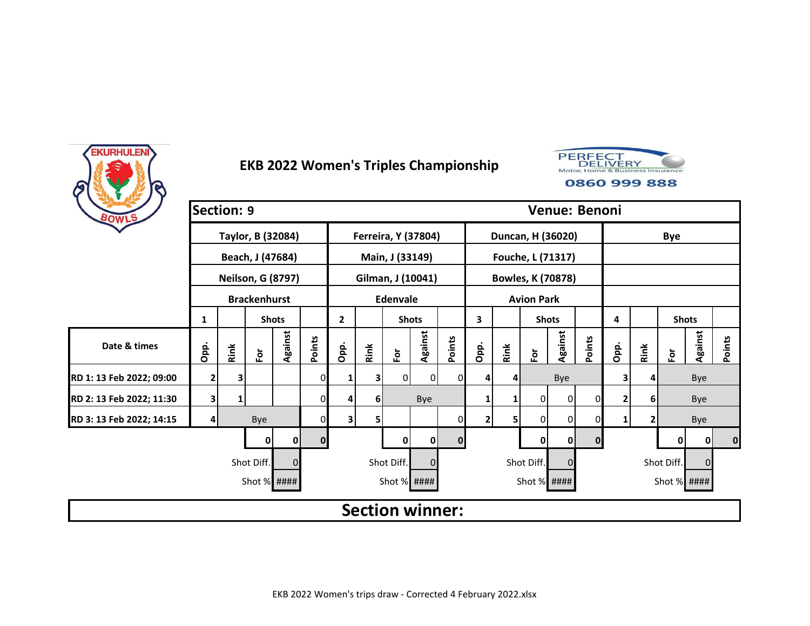



| BOWLS                    | <b>Section: 9</b>                                        |      |                          |              |              |                |                |                 |                        |          |              |                          |                   |                | Venue: Benoni |      |      |               |                |          |
|--------------------------|----------------------------------------------------------|------|--------------------------|--------------|--------------|----------------|----------------|-----------------|------------------------|----------|--------------|--------------------------|-------------------|----------------|---------------|------|------|---------------|----------------|----------|
|                          |                                                          |      | Taylor, B (32084)        |              |              |                |                |                 | Ferreira, Y (37804)    |          |              | Duncan, H (36020)        |                   |                |               |      |      | <b>Bye</b>    |                |          |
|                          |                                                          |      | Beach, J (47684)         |              |              |                |                | Main, J (33149) |                        |          |              | Fouche, L (71317)        |                   |                |               |      |      |               |                |          |
|                          |                                                          |      | <b>Neilson, G (8797)</b> |              |              |                |                |                 | Gilman, J (10041)      |          |              | <b>Bowles, K (70878)</b> |                   |                |               |      |      |               |                |          |
|                          |                                                          |      | <b>Brackenhurst</b>      |              |              |                |                | <b>Edenvale</b> |                        |          |              |                          | <b>Avion Park</b> |                |               |      |      |               |                |          |
|                          | 1                                                        |      |                          | <b>Shots</b> |              | $\overline{2}$ |                | <b>Shots</b>    |                        |          | 3            |                          | <b>Shots</b>      |                |               | 4    |      | <b>Shots</b>  |                |          |
| Date & times             | Opp.                                                     | Rink | Ĕ                        | Against      | Points       | Opp.           | Rink           | $\bf \bar{e}$   | Against                | Points   | Opp.         | Rink                     | Εòτ               | Against        | Points        | Opp. | Rink | $\bf \bar{e}$ | <b>Against</b> | Points   |
| RD 1: 13 Feb 2022; 09:00 | $\overline{2}$                                           | 3    |                          |              | 01           | 1              | $\mathbf{3}$   | $\Omega$        | οI                     | ΩI       | 4            | 4                        |                   | Bye            |               | 3    |      |               | Bye            |          |
| RD 2: 13 Feb 2022; 11:30 | 3                                                        | 1    |                          |              | $\Omega$     | 4              | 6 <sup>1</sup> |                 | Bye                    |          |              | 1                        | $\overline{0}$    | $\overline{0}$ | $\Omega$      | 2    |      |               | Bye            |          |
| RD 3: 13 Feb 2022; 14:15 | 4                                                        |      | Bye                      |              | 01           | 3              | 5              |                 |                        | ΟI       | $\mathbf{2}$ | 5                        | $\Omega$          | 0              | 0             | 1    |      |               | Bye            |          |
|                          |                                                          |      | 0                        | 0            | $\mathbf{0}$ |                |                | 0               | $\mathbf 0$            | $\Omega$ |              |                          | $\mathbf 0$       | $\mathbf{0}$   | $\mathbf{0}$  |      |      | 0             | 0              | $\bf{0}$ |
|                          | Shot Diff.<br>Shot Diff.<br>Shot Diff.<br>$\overline{0}$ |      |                          |              |              |                |                |                 |                        |          |              |                          |                   |                |               |      |      | Shot Diff.    | 0              |          |
|                          |                                                          |      | Shot % ####              |              |              |                |                | Shot % ####     |                        |          |              |                          | Shot % ####       |                |               |      |      | Shot % ####   |                |          |
|                          |                                                          |      |                          |              |              |                |                |                 | <b>Section winner:</b> |          |              |                          |                   |                |               |      |      |               |                |          |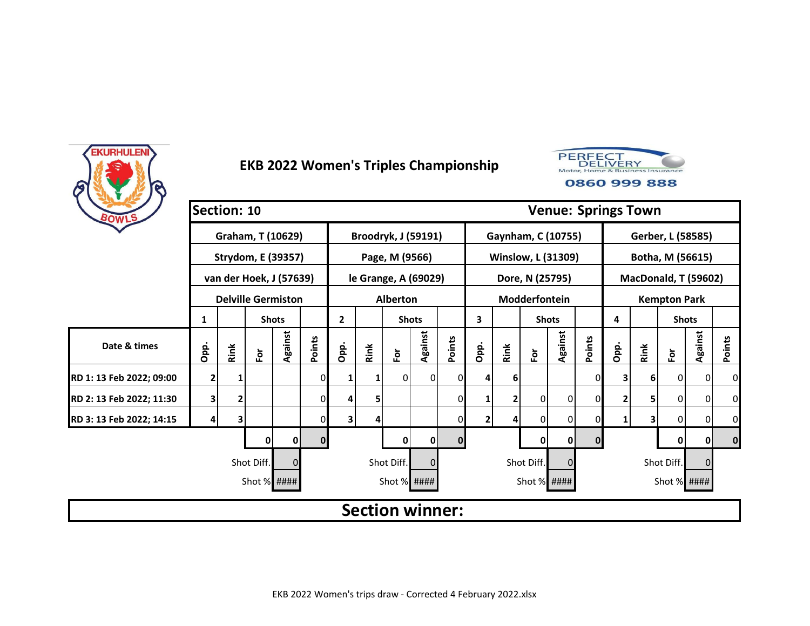



| BOWLS                    | Section: 10                          |      |                           |              |              |                         |      |                            |         |          |                |      |                 |                           |              | <b>Venue: Springs Town</b> |      |                      |                |                |
|--------------------------|--------------------------------------|------|---------------------------|--------------|--------------|-------------------------|------|----------------------------|---------|----------|----------------|------|-----------------|---------------------------|--------------|----------------------------|------|----------------------|----------------|----------------|
|                          |                                      |      | Graham, T (10629)         |              |              |                         |      | <b>Broodryk, J (59191)</b> |         |          |                |      |                 | Gaynham, C (10755)        |              |                            |      | Gerber, L (58585)    |                |                |
|                          |                                      |      | <b>Strydom, E (39357)</b> |              |              |                         |      | Page, M (9566)             |         |          |                |      |                 | <b>Winslow, L (31309)</b> |              |                            |      | Botha, M (56615)     |                |                |
|                          |                                      |      | van der Hoek, J (57639)   |              |              |                         |      | le Grange, A (69029)       |         |          |                |      | Dore, N (25795) |                           |              |                            |      | MacDonald, T (59602) |                |                |
|                          |                                      |      | <b>Delville Germiston</b> |              |              |                         |      | <b>Alberton</b>            |         |          |                |      | Modderfontein   |                           |              |                            |      | <b>Kempton Park</b>  |                |                |
|                          | 1                                    |      |                           | <b>Shots</b> |              | $\mathbf{2}$            |      | <b>Shots</b>               |         |          | 3              |      | <b>Shots</b>    |                           |              | 4                          |      | <b>Shots</b>         |                |                |
| Date & times             | Opp.                                 | Rink | $\overline{\mathbf{e}}$   | Against      | Points       | Opp.                    | Rink | For                        | Against | Points   | Opp.           | Rink | $\bf \bar{e}$   | Against                   | Points       | Opp.                       | Rink | $\bf \bar{e}$        | Against        | Points         |
| RD 1: 13 Feb 2022; 09:00 | 2                                    |      |                           |              | 0            |                         |      | 0                          | ΟI      |          |                | 6    |                 |                           | 0            |                            | 6    | 0                    | $\overline{0}$ | $\mathbf{0}$   |
| RD 2: 13 Feb 2022; 11:30 | 3                                    | 2    |                           |              | 0            | 4                       | 5    |                            |         | 0        |                | 2    | 0               | 0                         | 0            |                            | 5.   | 0                    | $\overline{0}$ | 0              |
| RD 3: 13 Feb 2022; 14:15 | 4                                    | 3    |                           |              | 0            | $\overline{\mathbf{3}}$ | 4    |                            |         |          | $\overline{2}$ | 4    | 0               | $\overline{0}$            | 0            |                            | 3    | 0                    | 0              | $\overline{0}$ |
|                          |                                      |      |                           | 0            | $\mathbf{0}$ |                         |      | 0                          | 0       | $\Omega$ |                |      | 0               | 0                         | $\mathbf{0}$ |                            |      | 0                    | 0              | 0              |
|                          | Shot Diff.<br>Shot Diff.<br>$\Omega$ |      |                           |              |              |                         |      |                            |         |          |                |      |                 | $\Omega$                  |              |                            |      | Shot Diff.           | $\Omega$       |                |
|                          |                                      |      | Shot % ####               |              |              |                         |      | Shot % ####                |         |          |                |      | Shot % ####     |                           |              |                            |      | Shot % ####          |                |                |
|                          |                                      |      |                           |              |              |                         |      | <b>Section winner:</b>     |         |          |                |      |                 |                           |              |                            |      |                      |                |                |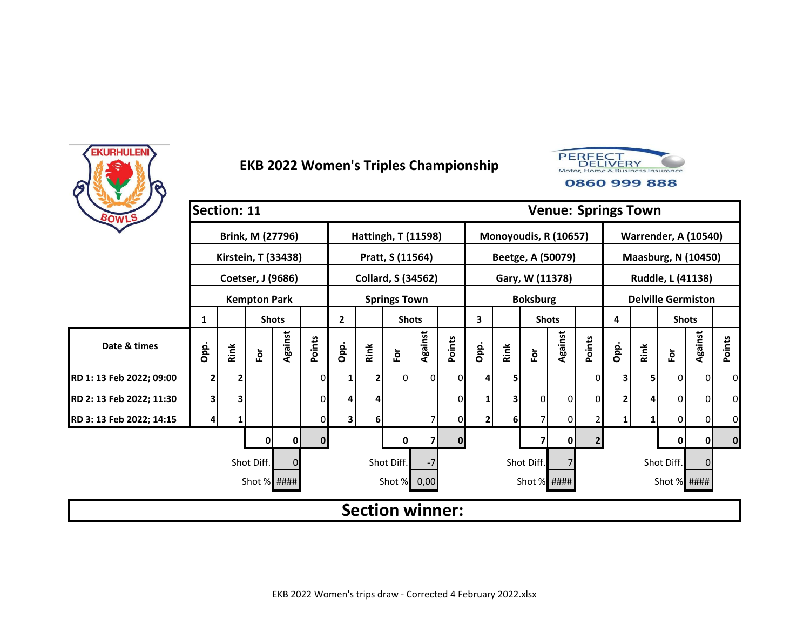



| BOWLS                    | <b>Section: 11</b> |      |                     |              |              |      |      |                            |                |          |                |            |                       |              |                | <b>Venue: Springs Town</b> |            |                             |         |          |
|--------------------------|--------------------|------|---------------------|--------------|--------------|------|------|----------------------------|----------------|----------|----------------|------------|-----------------------|--------------|----------------|----------------------------|------------|-----------------------------|---------|----------|
|                          |                    |      | Brink, M (27796)    |              |              |      |      | <b>Hattingh, T (11598)</b> |                |          |                |            | Monoyoudis, R (10657) |              |                |                            |            | <b>Warrender, A (10540)</b> |         |          |
|                          |                    |      | Kirstein, T (33438) |              |              |      |      | Pratt, S (11564)           |                |          |                |            | Beetge, A (50079)     |              |                |                            |            | <b>Maasburg, N (10450)</b>  |         |          |
|                          |                    |      | Coetser, J (9686)   |              |              |      |      | <b>Collard, S (34562)</b>  |                |          |                |            | Gary, W (11378)       |              |                |                            |            | Ruddle, L (41138)           |         |          |
|                          |                    |      | <b>Kempton Park</b> |              |              |      |      | <b>Springs Town</b>        |                |          |                |            | <b>Boksburg</b>       |              |                |                            |            | <b>Delville Germiston</b>   |         |          |
|                          | 1                  |      |                     | <b>Shots</b> |              | 2    |      | <b>Shots</b>               |                |          | 3              |            | <b>Shots</b>          |              |                | 4                          |            | <b>Shots</b>                |         |          |
| Date & times             | Opp.               | Rink | $\bf \tilde{e}$     | Against      | Points       | Opp. | Rink | $\bf \bar{e}$              | Against        | Points   | Opp.           | Rink       | $\bf \bar{e}$         | Against      | Points         | Opp.                       | Rink       | $\bf \bar{e}$               | Against | Points   |
| RD 1: 13 Feb 2022; 09:00 | 2                  | 2    |                     |              | 0            | 1    | 2    | 0                          | $\overline{0}$ | ΩI       | 4              | 5          |                       |              | 0              | 3                          | 5          | 0                           | 0       | 0        |
| RD 2: 13 Feb 2022; 11:30 | 3                  | 3    |                     |              | 0            | 4    | 4    |                            |                | 0        |                | 3          | $\overline{0}$        | 0            | $\mathbf{0}$   | 2                          |            | 0                           | 0       | 0        |
| RD 3: 13 Feb 2022; 14:15 | 4                  |      |                     |              | 0            | 3    | 6    |                            |                |          | $\overline{2}$ | 6          | 7                     | 0            | $\overline{2}$ | 1                          |            | 0                           | 0       | 0        |
|                          |                    |      | 0                   | 0            | $\mathbf{0}$ |      |      | 0                          |                | $\Omega$ |                |            | 7                     | $\mathbf{0}$ | $\overline{2}$ |                            |            | 0                           | 0       | $\bf{0}$ |
|                          |                    |      | Shot Diff.          |              |              |      |      | Shot Diff.                 |                |          |                | Shot Diff. |                       |              |                |                            | Shot Diff. | 0                           |         |          |
|                          |                    |      | Shot % ####         |              |              |      |      | Shot % 0,00                |                |          |                |            | Shot $%$ ####         |              |                |                            |            | Shot $%$ ####               |         |          |
|                          |                    |      |                     |              |              |      |      | <b>Section winner:</b>     |                |          |                |            |                       |              |                |                            |            |                             |         |          |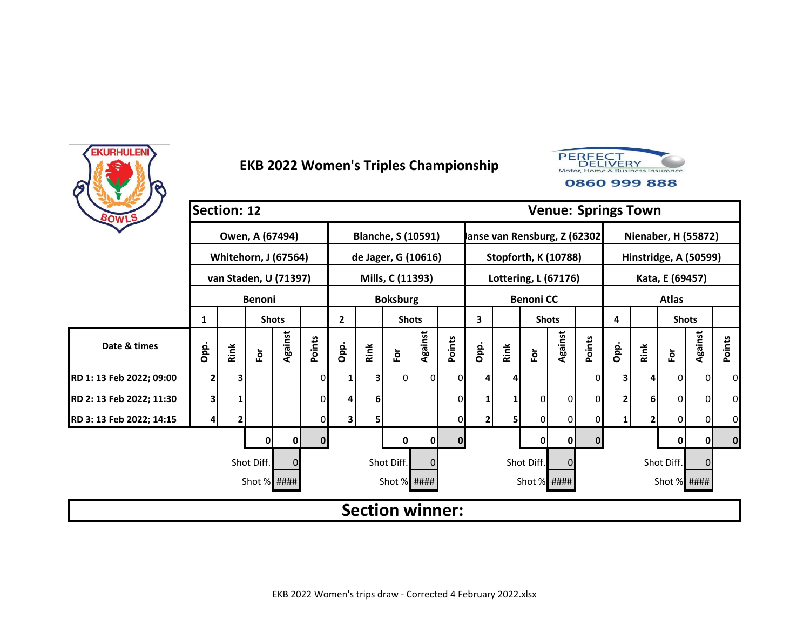



| BOWLS                    | Section: 12    |      |                             |              |              |              |      |                           |                |              |                               |      |                             |              |              | <b>Venue: Springs Town</b> |      |                            |                |                  |
|--------------------------|----------------|------|-----------------------------|--------------|--------------|--------------|------|---------------------------|----------------|--------------|-------------------------------|------|-----------------------------|--------------|--------------|----------------------------|------|----------------------------|----------------|------------------|
|                          |                |      | Owen, A (67494)             |              |              |              |      | <b>Blanche, S (10591)</b> |                |              | lanse van Rensburg, Z (62302) |      |                             |              |              |                            |      | <b>Nienaber, H (55872)</b> |                |                  |
|                          |                |      | <b>Whitehorn, J (67564)</b> |              |              |              |      | de Jager, G (10616)       |                |              |                               |      | <b>Stopforth, K (10788)</b> |              |              |                            |      | Hinstridge, A (50599)      |                |                  |
|                          |                |      | van Staden, U (71397)       |              |              |              |      | Mills, C (11393)          |                |              |                               |      | Lottering, L (67176)        |              |              |                            |      | Kata, E (69457)            |                |                  |
|                          |                |      | <b>Benoni</b>               |              |              |              |      | <b>Boksburg</b>           |                |              |                               |      | <b>Benoni CC</b>            |              |              |                            |      | <b>Atlas</b>               |                |                  |
|                          | 1              |      |                             | <b>Shots</b> |              | $\mathbf{2}$ |      | <b>Shots</b>              |                |              | 3                             |      | <b>Shots</b>                |              |              | 4                          |      | <b>Shots</b>               |                |                  |
| Date & times             | Opp.           | Rink | $\bf \tilde{e}$             | Against      | Points       | Opp.         | Rink | $\bf \bar{e}$             | Against        | Points       | Opp.                          | Rink | $\bf \bar{e}$               | Against      | Points       | Opp.                       | Rink | $\overline{\mathsf{P}}$    | Against        | Points           |
| RD 1: 13 Feb 2022; 09:00 | $\overline{2}$ | 3    |                             |              | 0            | 1            | 3    | 0                         | $\overline{0}$ |              | 4                             | 4    |                             |              | 0            | 3                          |      | 0                          | $\overline{0}$ | 0                |
| RD 2: 13 Feb 2022; 11:30 | 3              |      |                             |              | 0            | 4            | 6    |                           |                | 0            |                               | 1    | $\overline{0}$              | 0            | 0            | 2                          | 6    | 0                          | $\mathbf 0$    | 0                |
| RD 3: 13 Feb 2022; 14:15 | 4              | 2    |                             |              | 0            | 31           | 5    |                           |                | 01           | 2                             | 5    | $\Omega$                    | 0            | 0            | 1                          |      | 0                          | 0              | $\boldsymbol{0}$ |
|                          |                |      | 0                           | 0            | $\mathbf{0}$ |              |      | 0                         | $\mathbf 0$    | $\mathbf{0}$ |                               |      | $\mathbf 0$                 | $\mathbf{0}$ | $\mathbf{0}$ |                            |      | 0                          | 0              | $\bf{0}$         |
|                          |                |      | Shot Diff.                  |              |              |              |      | Shot Diff.                | $\Omega$       |              |                               |      | Shot Diff.                  | 0            |              |                            |      | Shot Diff.                 | 0              |                  |
|                          |                |      | Shot % ####                 |              |              |              |      | Shot % ####               |                |              |                               |      | Shot % ####                 |              |              |                            |      | Shot % ####                |                |                  |
|                          |                |      |                             |              |              |              |      | <b>Section winner:</b>    |                |              |                               |      |                             |              |              |                            |      |                            |                |                  |